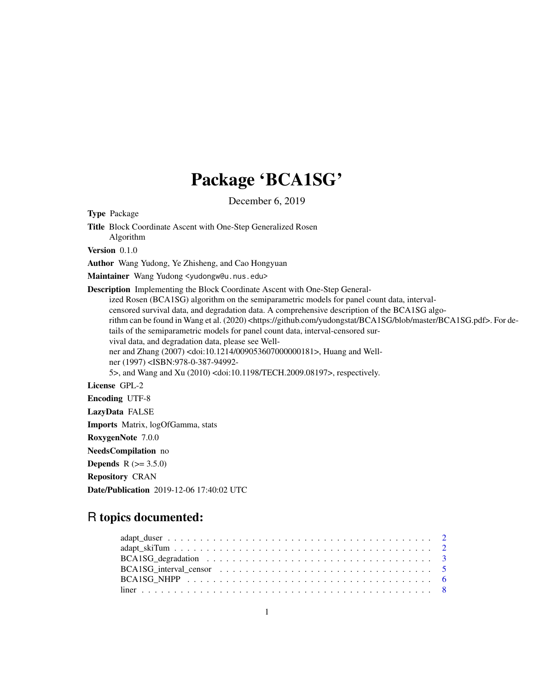## Package 'BCA1SG'

December 6, 2019

Type Package Title Block Coordinate Ascent with One-Step Generalized Rosen Algorithm Version 0.1.0 Author Wang Yudong, Ye Zhisheng, and Cao Hongyuan Maintainer Wang Yudong <yudongw@u.nus.edu> Description Implementing the Block Coordinate Ascent with One-Step Generalized Rosen (BCA1SG) algorithm on the semiparametric models for panel count data, intervalcensored survival data, and degradation data. A comprehensive description of the BCA1SG algorithm can be found in Wang et al. (2020) <https://github.com/yudongstat/BCA1SG/blob/master/BCA1SG.pdf>. For details of the semiparametric models for panel count data, interval-censored survival data, and degradation data, please see Wellner and Zhang (2007) <doi:10.1214/009053607000000181>, Huang and Wellner (1997) <ISBN:978-0-387-94992- 5>, and Wang and Xu (2010) <doi:10.1198/TECH.2009.08197>, respectively. License GPL-2 Encoding UTF-8 LazyData FALSE Imports Matrix, logOfGamma, stats RoxygenNote 7.0.0 NeedsCompilation no **Depends**  $R (= 3.5.0)$ Repository CRAN Date/Publication 2019-12-06 17:40:02 UTC

### R topics documented: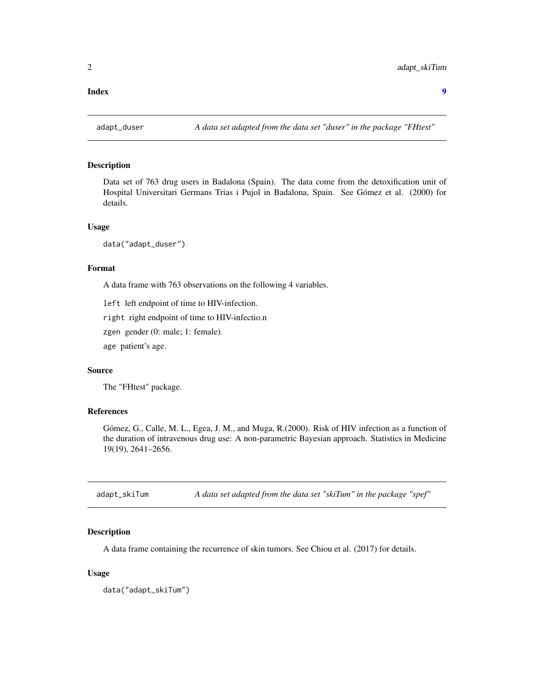#### <span id="page-1-0"></span>**Index** [9](#page-8-0)

#### Description

Data set of 763 drug users in Badalona (Spain). The data come from the detoxification unit of Hospital Universitari Germans Trias i Pujol in Badalona, Spain. See Gómez et al. (2000) for details.

#### Usage

data("adapt\_duser")

#### Format

A data frame with 763 observations on the following 4 variables.

left left endpoint of time to HIV-infection.

right right endpoint of time to HIV-infectio.n

zgen gender (0: male; 1: female).

age patient's age.

#### Source

The "FHtest" package.

#### References

Gómez, G., Calle, M. L., Egea, J. M., and Muga, R.(2000). Risk of HIV infection as a function of the duration of intravenous drug use: A non-parametric Bayesian approach. Statistics in Medicine 19(19), 2641–2656.

adapt\_skiTum *A data set adapted from the data set "skiTum" in the package "spef"*

#### Description

A data frame containing the recurrence of skin tumors. See Chiou et al. (2017) for details.

#### Usage

data("adapt\_skiTum")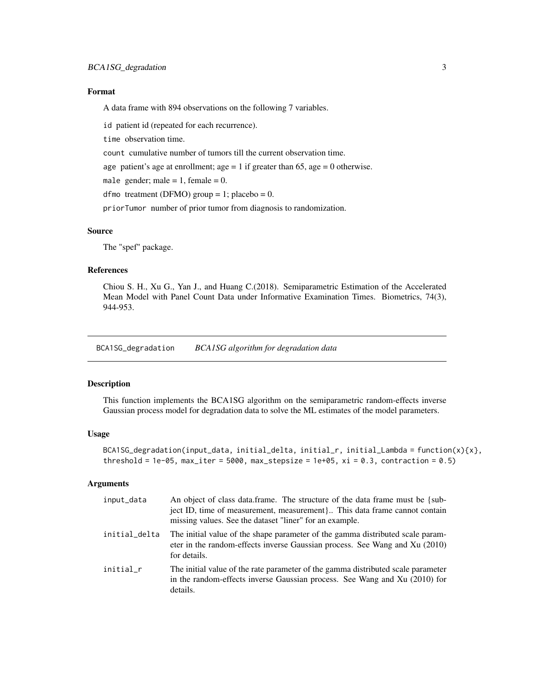#### <span id="page-2-0"></span>Format

A data frame with 894 observations on the following 7 variables.

id patient id (repeated for each recurrence).

time observation time.

count cumulative number of tumors till the current observation time.

age patient's age at enrollment; age  $= 1$  if greater than 65, age  $= 0$  otherwise.

male gender; male = 1, female =  $0$ .

dfmo treatment (DFMO) group = 1; placebo = 0.

priorTumor number of prior tumor from diagnosis to randomization.

#### Source

The "spef" package.

#### References

Chiou S. H., Xu G., Yan J., and Huang C.(2018). Semiparametric Estimation of the Accelerated Mean Model with Panel Count Data under Informative Examination Times. Biometrics, 74(3), 944-953.

BCA1SG\_degradation *BCA1SG algorithm for degradation data*

#### Description

This function implements the BCA1SG algorithm on the semiparametric random-effects inverse Gaussian process model for degradation data to solve the ML estimates of the model parameters.

#### Usage

```
BCA1SG_degradation(input_data, initial_delta, initial_r, initial_Lambda = function(x){x},
threshold = 1e-05, max_iter = 5000, max_stepsize = 1e+05, xi = 0.3, contraction = 0.5)
```
#### Arguments

| input_data    | An object of class data frame. The structure of the data frame must be {sub-<br>ject ID, time of measurement, measurement} This data frame cannot contain<br>missing values. See the dataset "liner" for an example. |
|---------------|----------------------------------------------------------------------------------------------------------------------------------------------------------------------------------------------------------------------|
| initial_delta | The initial value of the shape parameter of the gamma distributed scale param-<br>eter in the random-effects inverse Gaussian process. See Wang and Xu (2010)<br>for details.                                        |
| initial_r     | The initial value of the rate parameter of the gamma distributed scale parameter<br>in the random-effects inverse Gaussian process. See Wang and Xu (2010) for<br>details.                                           |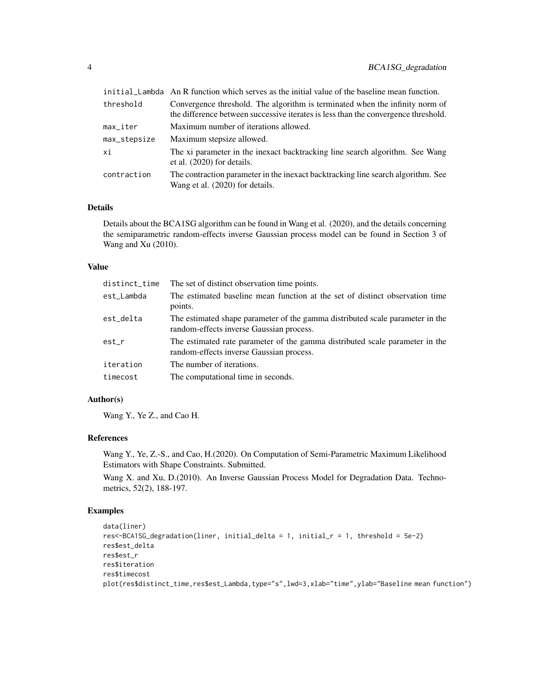|              | initial_Lambda An R function which serves as the initial value of the baseline mean function.                                                                      |
|--------------|--------------------------------------------------------------------------------------------------------------------------------------------------------------------|
| threshold    | Convergence threshold. The algorithm is terminated when the infinity norm of<br>the difference between successive iterates is less than the convergence threshold. |
| max_iter     | Maximum number of iterations allowed.                                                                                                                              |
| max_stepsize | Maximum stepsize allowed.                                                                                                                                          |
| хi           | The xi parameter in the inexact backtracking line search algorithm. See Wang<br>et al. $(2020)$ for details.                                                       |
| contraction  | The contraction parameter in the inexact backtracking line search algorithm. See<br>Wang et al. (2020) for details.                                                |

#### Details

Details about the BCA1SG algorithm can be found in Wang et al. (2020), and the details concerning the semiparametric random-effects inverse Gaussian process model can be found in Section 3 of Wang and Xu (2010).

#### Value

| distinct_time | The set of distinct observation time points.                                                                              |
|---------------|---------------------------------------------------------------------------------------------------------------------------|
| est_Lambda    | The estimated baseline mean function at the set of distinct observation time<br>points.                                   |
| est_delta     | The estimated shape parameter of the gamma distributed scale parameter in the<br>random-effects inverse Gaussian process. |
| est_r         | The estimated rate parameter of the gamma distributed scale parameter in the<br>random-effects inverse Gaussian process.  |
| iteration     | The number of iterations.                                                                                                 |
| timecost      | The computational time in seconds.                                                                                        |

#### Author(s)

Wang Y., Ye Z., and Cao H.

#### References

Wang Y., Ye, Z.-S., and Cao, H.(2020). On Computation of Semi-Parametric Maximum Likelihood Estimators with Shape Constraints. Submitted.

Wang X. and Xu, D.(2010). An Inverse Gaussian Process Model for Degradation Data. Technometrics, 52(2), 188-197.

#### Examples

```
data(liner)
res<-BCA1SG_degradation(liner, initial_delta = 1, initial_r = 1, threshold = 5e-2)
res$est_delta
res$est_r
res$iteration
res$timecost
plot(res$distinct_time,res$est_Lambda,type="s",lwd=3,xlab="time",ylab="Baseline mean function")
```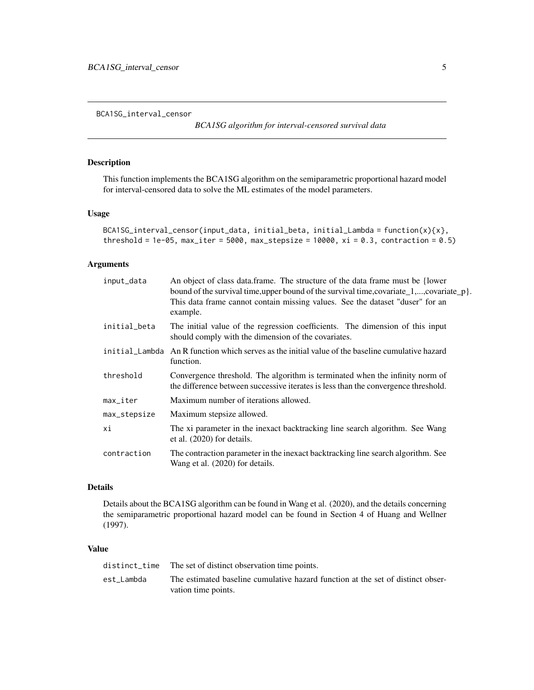<span id="page-4-0"></span>BCA1SG\_interval\_censor

*BCA1SG algorithm for interval-censored survival data*

#### Description

This function implements the BCA1SG algorithm on the semiparametric proportional hazard model for interval-censored data to solve the ML estimates of the model parameters.

#### Usage

```
BCA1SG_interval_censor(input_data, initial_beta, initial_Lambda = function(x){x},
threshold = 1e-05, max_iter = 5000, max_stepsize = 10000, xi = 0.3, contraction = 0.5)
```
#### Arguments

| input_data             | An object of class data frame. The structure of the data frame must be {lower<br>bound of the survival time, upper bound of the survival time, covariate $\lfloor 1, \ldots, \text{covariate}_p \rfloor$ .<br>This data frame cannot contain missing values. See the dataset "duser" for an<br>example. |
|------------------------|---------------------------------------------------------------------------------------------------------------------------------------------------------------------------------------------------------------------------------------------------------------------------------------------------------|
| initial_beta           | The initial value of the regression coefficients. The dimension of this input<br>should comply with the dimension of the covariates.                                                                                                                                                                    |
|                        | initial_Lambda An R function which serves as the initial value of the baseline cumulative hazard<br>function.                                                                                                                                                                                           |
| threshold              | Convergence threshold. The algorithm is terminated when the infinity norm of<br>the difference between successive iterates is less than the convergence threshold.                                                                                                                                      |
| $max$ <sub>Liter</sub> | Maximum number of iterations allowed.                                                                                                                                                                                                                                                                   |
| max_stepsize           | Maximum stepsize allowed.                                                                                                                                                                                                                                                                               |
| хi                     | The xi parameter in the inexact backtracking line search algorithm. See Wang<br>et al. (2020) for details.                                                                                                                                                                                              |
| contraction            | The contraction parameter in the inexact backtracking line search algorithm. See<br>Wang et al. (2020) for details.                                                                                                                                                                                     |

#### Details

Details about the BCA1SG algorithm can be found in Wang et al. (2020), and the details concerning the semiparametric proportional hazard model can be found in Section 4 of Huang and Wellner (1997).

#### Value

|            | distinct_time The set of distinct observation time points.                      |
|------------|---------------------------------------------------------------------------------|
| est Lambda | The estimated baseline cumulative hazard function at the set of distinct obser- |
|            | vation time points.                                                             |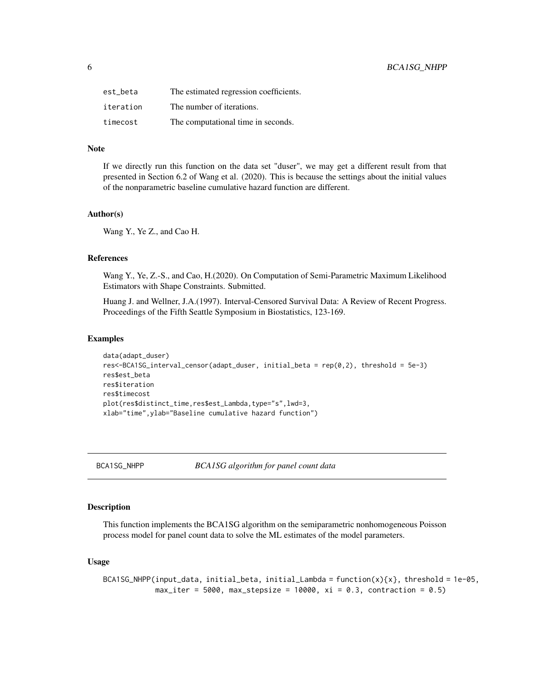<span id="page-5-0"></span>

| est beta  | The estimated regression coefficients. |
|-----------|----------------------------------------|
| iteration | The number of iterations.              |
| timecost  | The computational time in seconds.     |

#### Note

If we directly run this function on the data set "duser", we may get a different result from that presented in Section 6.2 of Wang et al. (2020). This is because the settings about the initial values of the nonparametric baseline cumulative hazard function are different.

#### Author(s)

Wang Y., Ye Z., and Cao H.

#### References

Wang Y., Ye, Z.-S., and Cao, H.(2020). On Computation of Semi-Parametric Maximum Likelihood Estimators with Shape Constraints. Submitted.

Huang J. and Wellner, J.A.(1997). Interval-Censored Survival Data: A Review of Recent Progress. Proceedings of the Fifth Seattle Symposium in Biostatistics, 123-169.

#### Examples

```
data(adapt_duser)
res<-BCA1SG_interval_censor(adapt_duser, initial_beta = rep(0,2), threshold = 5e-3)
res$est_beta
res$iteration
res$timecost
plot(res$distinct_time,res$est_Lambda,type="s",lwd=3,
xlab="time",ylab="Baseline cumulative hazard function")
```
BCA1SG\_NHPP *BCA1SG algorithm for panel count data*

#### Description

This function implements the BCA1SG algorithm on the semiparametric nonhomogeneous Poisson process model for panel count data to solve the ML estimates of the model parameters.

#### Usage

```
BCA1SG_NHPP(input_data, initial_beta, initial_Lambda = function(x){x}, threshold = 1e-05,
            max\_iter = 5000, max\_stepsize = 10000, xi = 0.3, contraction = 0.5)
```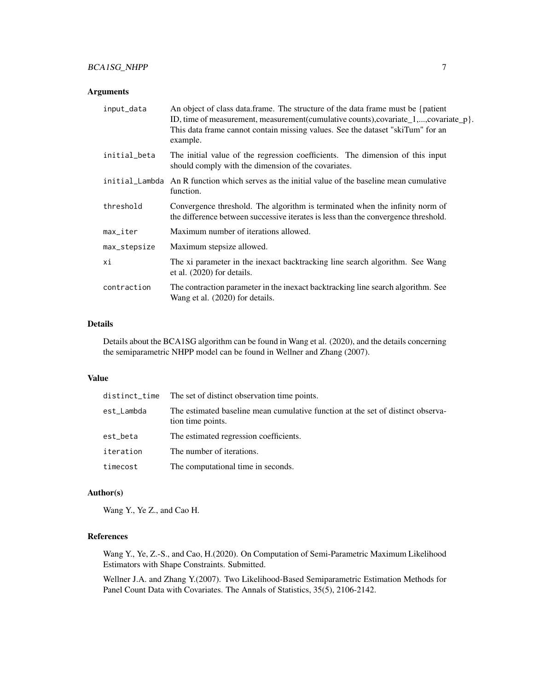#### Arguments

| input_data             | An object of class data frame. The structure of the data frame must be {patient<br>ID, time of measurement, measurement(cumulative counts), covariate_1,, covariate_p }.<br>This data frame cannot contain missing values. See the dataset "skiTum" for an<br>example. |
|------------------------|------------------------------------------------------------------------------------------------------------------------------------------------------------------------------------------------------------------------------------------------------------------------|
| initial_beta           | The initial value of the regression coefficients. The dimension of this input<br>should comply with the dimension of the covariates.                                                                                                                                   |
|                        | initial_Lambda An R function which serves as the initial value of the baseline mean cumulative<br>function.                                                                                                                                                            |
| threshold              | Convergence threshold. The algorithm is terminated when the infinity norm of<br>the difference between successive iterates is less than the convergence threshold.                                                                                                     |
| $max$ <sub>Liter</sub> | Maximum number of iterations allowed.                                                                                                                                                                                                                                  |
| max_stepsize           | Maximum stepsize allowed.                                                                                                                                                                                                                                              |
| хi                     | The xi parameter in the inexact backtracking line search algorithm. See Wang<br>et al. $(2020)$ for details.                                                                                                                                                           |
| contraction            | The contraction parameter in the inexact backtracking line search algorithm. See<br>Wang et al. (2020) for details.                                                                                                                                                    |

#### Details

Details about the BCA1SG algorithm can be found in Wang et al. (2020), and the details concerning the semiparametric NHPP model can be found in Wellner and Zhang (2007).

#### Value

|            | distinct_time The set of distinct observation time points.                                           |
|------------|------------------------------------------------------------------------------------------------------|
| est_Lambda | The estimated baseline mean cumulative function at the set of distinct observa-<br>tion time points. |
| est_beta   | The estimated regression coefficients.                                                               |
| iteration  | The number of iterations.                                                                            |
| timecost   | The computational time in seconds.                                                                   |

#### Author(s)

Wang Y., Ye Z., and Cao H.

#### References

Wang Y., Ye, Z.-S., and Cao, H.(2020). On Computation of Semi-Parametric Maximum Likelihood Estimators with Shape Constraints. Submitted.

Wellner J.A. and Zhang Y.(2007). Two Likelihood-Based Semiparametric Estimation Methods for Panel Count Data with Covariates. The Annals of Statistics, 35(5), 2106-2142.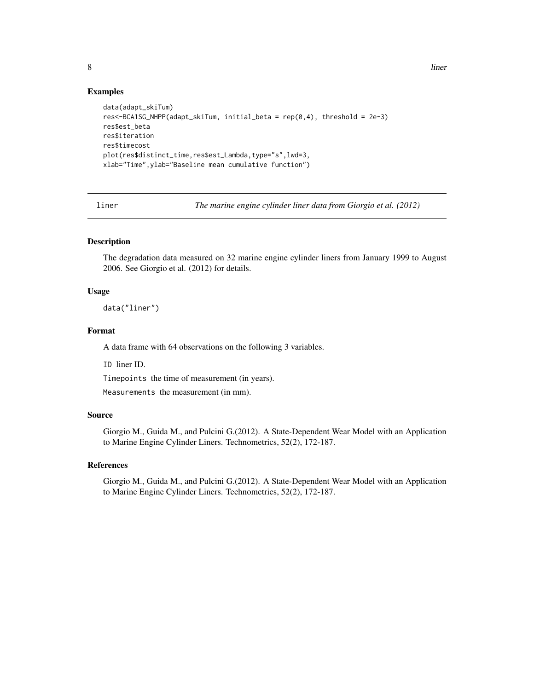#### Examples

```
data(adapt_skiTum)
res<-BCA1SG_NHPP(adapt_skiTum, initial_beta = rep(0,4), threshold = 2e-3)
res$est_beta
res$iteration
res$timecost
plot(res$distinct_time,res$est_Lambda,type="s",lwd=3,
xlab="Time",ylab="Baseline mean cumulative function")
```
liner *The marine engine cylinder liner data from Giorgio et al. (2012)*

#### Description

The degradation data measured on 32 marine engine cylinder liners from January 1999 to August 2006. See Giorgio et al. (2012) for details.

#### Usage

data("liner")

#### Format

A data frame with 64 observations on the following 3 variables.

ID liner ID.

Timepoints the time of measurement (in years).

Measurements the measurement (in mm).

#### Source

Giorgio M., Guida M., and Pulcini G.(2012). A State-Dependent Wear Model with an Application to Marine Engine Cylinder Liners. Technometrics, 52(2), 172-187.

#### References

Giorgio M., Guida M., and Pulcini G.(2012). A State-Dependent Wear Model with an Application to Marine Engine Cylinder Liners. Technometrics, 52(2), 172-187.

<span id="page-7-0"></span>